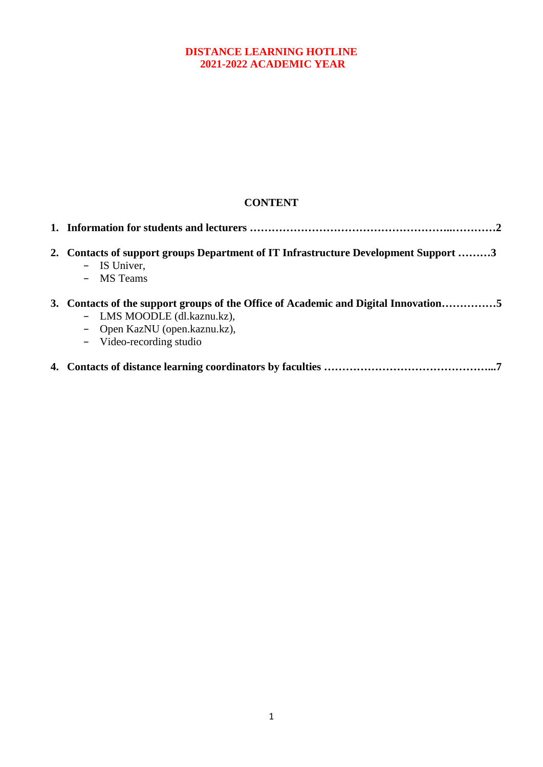### **DISTANCE LEARNING HOTLINE 2021-2022 ACADEMIC YEAR**

# **CONTENT**

| 2. | Contacts of support groups Department of IT Infrastructure Development Support 3<br>- IS Univer,<br>- MS Teams                                                                  |
|----|---------------------------------------------------------------------------------------------------------------------------------------------------------------------------------|
|    | 3. Contacts of the support groups of the Office of Academic and Digital Innovation5<br>- LMS MOODLE (dl.kaznu.kz),<br>- Open KazNU (open.kaznu.kz),<br>- Video-recording studio |
|    |                                                                                                                                                                                 |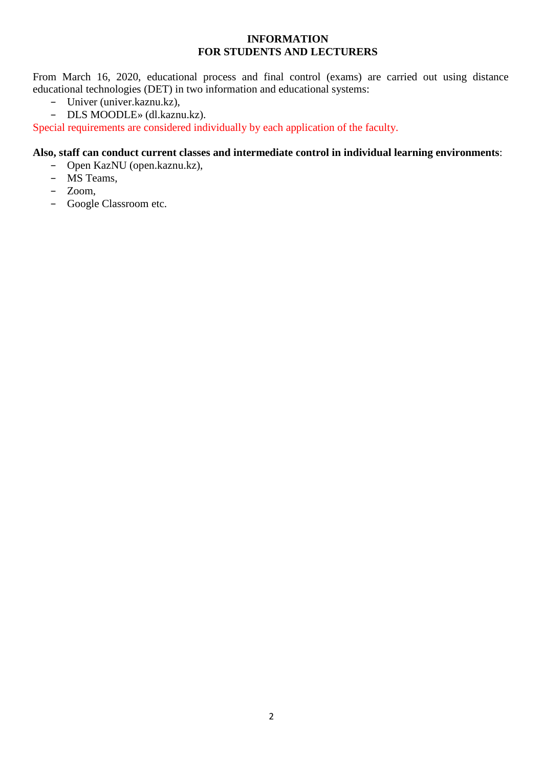#### **INFORMATION FOR STUDENTS AND LECTURERS**

From March 16, 2020, educational process and final control (exams) are carried out using distance educational technologies (DET) in two information and educational systems:

- − Univer (univer.kaznu.kz),
- − DLS MOODLE» (dl.kaznu.kz).

Special requirements are considered individually by each application of the faculty.

#### **Also, staff can conduct current classes and intermediate control in individual learning environments**:

- − Open KazNU (open.kaznu.kz),
- − MS Teams,
- − Zoom,
- − Google Classroom etc.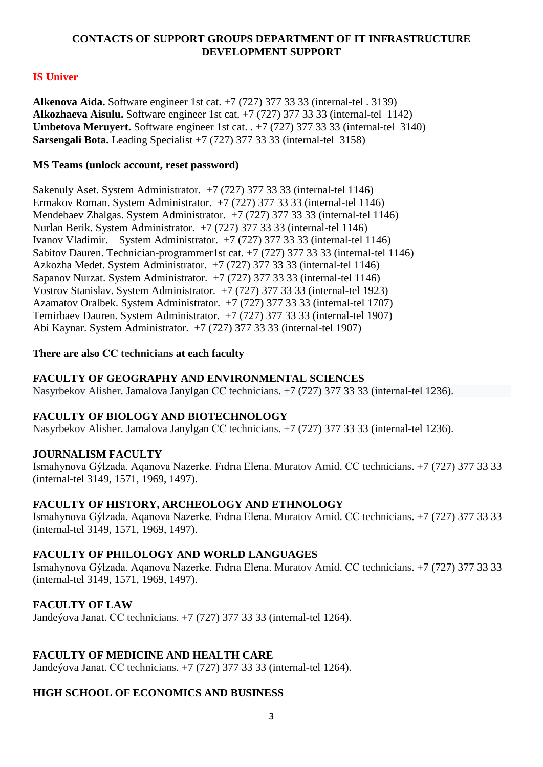#### **CONTACTS OF SUPPORT GROUPS DEPARTMENT OF IT INFRASTRUCTURE DEVELOPMENT SUPPORT**

# **IS Univer**

**Alkenova Aida.** Software engineer 1st cat. +7 (727) 377 33 33 (internal-tel . 3139) **Alkozhaeva Aisulu.** Software engineer 1st cat. +7 (727) 377 33 33 (internal-tel 1142) **Umbetova Meruyert.** Software engineer 1st cat. . +7 (727) 377 33 33 (internal-tel 3140) **Sarsengali Bota.** Leading Specialist +7 (727) 377 33 33 (internal-tel 3158)

#### **MS Teams (unlock account, reset password)**

Sakenuly Aset. System Administrator. +7 (727) 377 33 33 (internal-tel 1146) Ermakov Roman. System Administrator. +7 (727) 377 33 33 (internal-tel 1146) Mendebaev Zhalgas. System Administrator. +7 (727) 377 33 33 (internal-tel 1146) Nurlan Berik. System Administrator. +7 (727) 377 33 33 (internal-tel 1146) Ivanov Vladimir. System Administrator. +7 (727) 377 33 33 (internal-tel 1146) Sabitov Dauren. Technician-programmer1st cat. +7 (727) 377 33 33 (internal-tel 1146) Azkozha Medet. System Administrator. +7 (727) 377 33 33 (internal-tel 1146) Sapanov Nurzat. System Administrator. +7 (727) 377 33 33 (internal-tel 1146) Vostrov Stanislav. System Administrator. +7 (727) 377 33 33 (internal-tel 1923) Azamatov Oralbek. System Administrator. +7 (727) 377 33 33 (internal-tel 1707) Temirbaev Dauren. System Administrator. +7 (727) 377 33 33 (internal-tel 1907) Abi Kaynar. System Administrator. +7 (727) 377 33 33 (internal-tel 1907)

#### **There are also СС technicians at each faculty**

### **FACULTY OF GEOGRAPHY AND ENVIRONMENTAL SCIENCES**

Nasyrbekov Alisher. Jamalova Janylgan СС technicians. +7 (727) 377 33 33 (internal-tel 1236).

### **FACULTY OF BIOLOGY AND BIOTECHNOLOGY**

Nasyrbekov Alisher. Jamalova Janylgan СС technicians. +7 (727) 377 33 33 (internal-tel 1236).

### **JOURNALISM FACULTY**

Ismahynova Gýlzada. Aqanova Nazerke. Fıdrıa Elena. Muratov Amid. СС technicians. +7 (727) 377 33 33 (internal-tel 3149, 1571, 1969, 1497).

### **FACULTY OF HISTORY, ARCHEOLOGY AND ETHNOLOGY**

Ismahynova Gýlzada. Aqanova Nazerke. Fıdrıa Elena. Muratov Amid. СС technicians. +7 (727) 377 33 33 (internal-tel 3149, 1571, 1969, 1497).

### **FACULTY OF PHILOLOGY AND WORLD LANGUAGES**

Ismahynova Gýlzada. Aqanova Nazerke. Fıdrıa Elena. Muratov Amid. СС technicians. +7 (727) 377 33 33 (internal-tel 3149, 1571, 1969, 1497).

### **FACULTY OF LAW**

Jandeýova Janat. СС technicians. +7 (727) 377 33 33 (internal-tel 1264).

### **FACULTY OF MEDICINE AND HEALTH CARE**

Jandeýova Janat. СС technicians. +7 (727) 377 33 33 (internal-tel 1264).

### **HIGH SCHOOL OF ECONOMICS AND BUSINESS**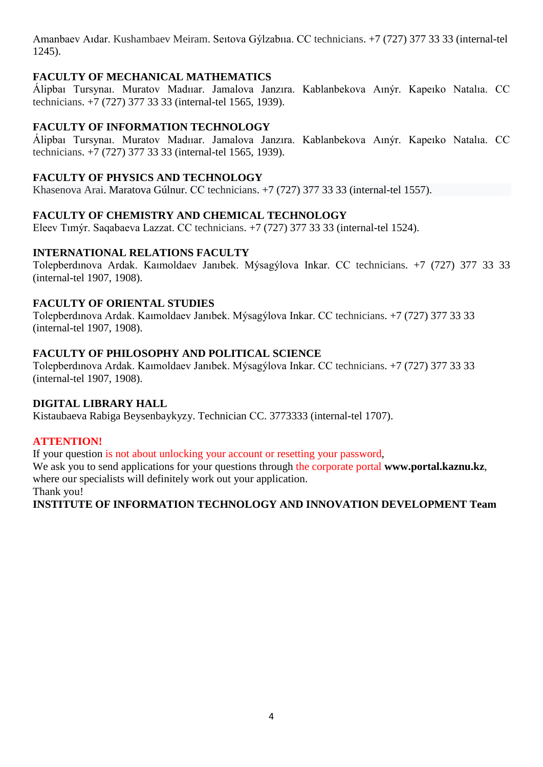Amanbaev Aıdar. Kushambaev Meiram. Seıtova Gýlzabııa. СС technicians. +7 (727) 377 33 33 (internal-tel 1245).

### **FACULTY OF MECHANICAL MATHEMATICS**

Álipbaı Tursynaı. Muratov Madııar. Jamalova Janzıra. Kablanbekova Aınýr. Kapeıko Natalıa. СС technicians. +7 (727) 377 33 33 (internal-tel 1565, 1939).

### **FACULTY OF INFORMATION TECHNOLOGY**

Álipbaı Tursynaı. Muratov Madııar. Jamalova Janzıra. Kablanbekova Aınýr. Kapeıko Natalıa. СС technicians. +7 (727) 377 33 33 (internal-tel 1565, 1939).

#### **FACULTY OF PHYSICS AND TECHNOLOGY**

Khasenova Arai. Maratova Gúlnur. СС technicians. +7 (727) 377 33 33 (internal-tel 1557).

#### **FACULTY OF CHEMISTRY AND CHEMICAL TECHNOLOGY**

Eleev Tımýr. Saqabaeva Lazzat. СС technicians. +7 (727) 377 33 33 (internal-tel 1524).

### **INTERNATIONAL RELATIONS FACULTY**

Tolepberdınova Ardak. Kaımoldaev Janıbek. Mýsagýlova Inkar. СС technicians. +7 (727) 377 33 33 (internal-tel 1907, 1908).

#### **FACULTY OF ORIENTAL STUDIES**

Tolepberdınova Ardak. Kaımoldaev Janıbek. Mýsagýlova Inkar. СС technicians. +7 (727) 377 33 33 (internal-tel 1907, 1908).

#### **FACULTY OF PHILOSOPHY AND POLITICAL SCIENCE**

Tolepberdınova Ardak. Kaımoldaev Janıbek. Mýsagýlova Inkar. СС technicians. +7 (727) 377 33 33 (internal-tel 1907, 1908).

#### **DIGITAL LIBRARY HALL**

Kistaubaeva Rabiga Beysenbaykyzy. Technician СC. 3773333 (internal-tel 1707).

### **ATTENTION!**

If your question is not about unlocking your account or resetting your password,

We ask you to send applications for your questions through the corporate portal **www.portal.kaznu.kz**, where our specialists will definitely work out your application.

Thank you!

**INSTITUTE OF INFORMATION TECHNOLOGY AND INNOVATION DEVELOPMENT Team**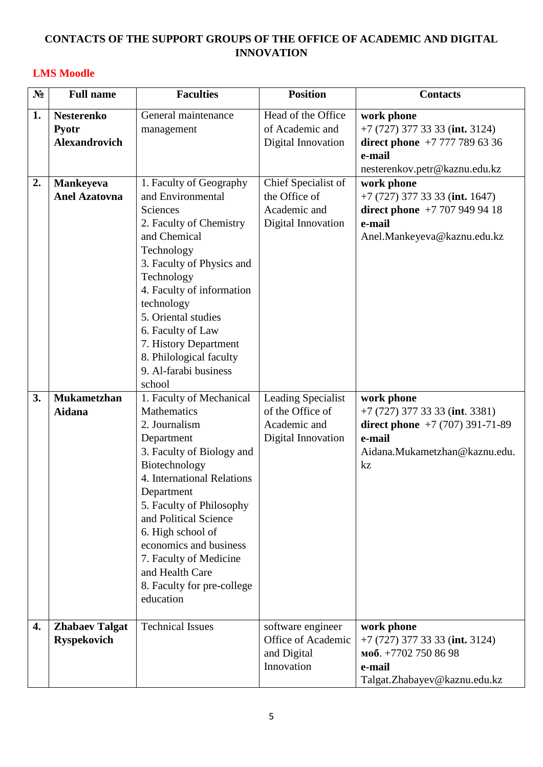## **CONTACTS OF THE SUPPORT GROUPS OF THE OFFICE OF ACADEMIC AND DIGITAL INNOVATION**

### **LMS Moodle**

| N <sub>2</sub> | <b>Full name</b>                                   | <b>Faculties</b>                                                                                                                                                                                                                                                                                                                                             | <b>Position</b>                                                              | <b>Contacts</b>                                                                                                                    |
|----------------|----------------------------------------------------|--------------------------------------------------------------------------------------------------------------------------------------------------------------------------------------------------------------------------------------------------------------------------------------------------------------------------------------------------------------|------------------------------------------------------------------------------|------------------------------------------------------------------------------------------------------------------------------------|
| 1.             | <b>Nesterenko</b><br>Pyotr<br><b>Alexandrovich</b> | General maintenance<br>management                                                                                                                                                                                                                                                                                                                            | Head of the Office<br>of Academic and<br>Digital Innovation                  | work phone<br>$+7$ (727) 377 33 33 (int. 3124)<br>direct phone $+7$ 777 789 63 36<br>e-mail<br>nesterenkov.petr@kaznu.edu.kz       |
| 2.             | <b>Mankeyeva</b><br><b>Anel Azatovna</b>           | 1. Faculty of Geography<br>and Environmental<br>Sciences<br>2. Faculty of Chemistry<br>and Chemical<br>Technology<br>3. Faculty of Physics and<br>Technology<br>4. Faculty of information<br>technology<br>5. Oriental studies<br>6. Faculty of Law<br>7. History Department<br>8. Philological faculty<br>9. Al-farabi business<br>school                   | Chief Specialist of<br>the Office of<br>Academic and<br>Digital Innovation   | work phone<br>$+7(727)$ 377 33 33 (int. 1647)<br>direct phone $+7$ 707 949 94 18<br>e-mail<br>Anel.Mankeyeva@kaznu.edu.kz          |
| 3.             | <b>Mukametzhan</b><br>Aidana                       | 1. Faculty of Mechanical<br>Mathematics<br>2. Journalism<br>Department<br>3. Faculty of Biology and<br>Biotechnology<br>4. International Relations<br>Department<br>5. Faculty of Philosophy<br>and Political Science<br>6. High school of<br>economics and business<br>7. Faculty of Medicine<br>and Health Care<br>8. Faculty for pre-college<br>education | Leading Specialist<br>of the Office of<br>Academic and<br>Digital Innovation | work phone<br>$+7$ (727) 377 33 33 (int. 3381)<br>direct phone $+7(707)391-71-89$<br>e-mail<br>Aidana.Mukametzhan@kaznu.edu.<br>kz |
| 4.             | <b>Zhabaev Talgat</b><br><b>Ryspekovich</b>        | <b>Technical Issues</b>                                                                                                                                                                                                                                                                                                                                      | software engineer<br>Office of Academic<br>and Digital<br>Innovation         | work phone<br>$+7$ (727) 377 33 33 (int. 3124)<br>моб. +7702 750 86 98<br>e-mail<br>Talgat.Zhabayev@kaznu.edu.kz                   |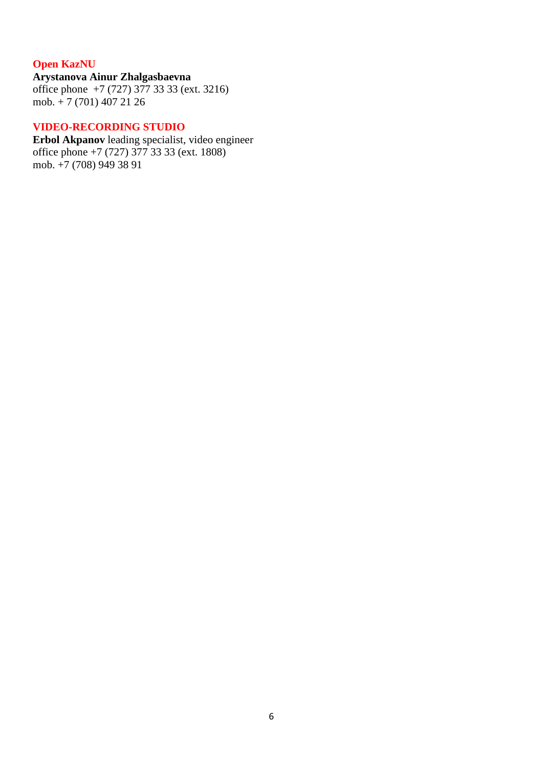# **Open KazNU**

**Arystanova Ainur Zhalgasbaevna** office phone +7 (727) 377 33 33 (ext. 3216) mob.  $+ 7$  (701) 407 21 26

#### **VIDEO-RECORDING STUDIO**

**Erbol Akpanov** leading specialist, video engineer office phone +7 (727) 377 33 33 (ext. 1808) mob.  $+7$  (708) 949 38 91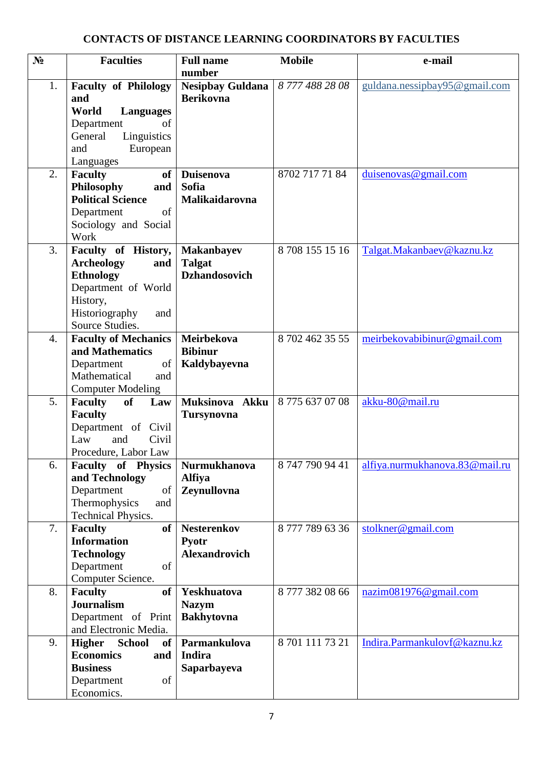# **CONTACTS OF DISTANCE LEARNING COORDINATORS BY FACULTIES**

| $N_2$ | <b>Faculties</b>                                  | <b>Full name</b>        | <b>Mobile</b>   | e-mail                         |
|-------|---------------------------------------------------|-------------------------|-----------------|--------------------------------|
|       |                                                   | number                  |                 |                                |
| 1.    | <b>Faculty of Philology</b>                       | <b>Nesipbay Guldana</b> | 87774882808     | guldana.nessipbay95@gmail.com  |
|       | and<br>World<br><b>Languages</b>                  | <b>Berikovna</b>        |                 |                                |
|       | Department<br>of                                  |                         |                 |                                |
|       | General<br>Linguistics                            |                         |                 |                                |
|       | European<br>and                                   |                         |                 |                                |
|       | Languages                                         |                         |                 |                                |
| 2.    | <b>Faculty</b><br>of <sub>1</sub>                 | <b>Duisenova</b>        | 8702 717 71 84  | duisenovas@gmail.com           |
|       | Philosophy<br>and                                 | <b>Sofia</b>            |                 |                                |
|       | <b>Political Science</b>                          | Malikaidarovna          |                 |                                |
|       | Department<br>of                                  |                         |                 |                                |
|       | Sociology and Social                              |                         |                 |                                |
|       | Work                                              |                         |                 |                                |
| 3.    | Faculty of History,                               | <b>Makanbayev</b>       | 87081551516     | Talgat.Makanbaev@kaznu.kz      |
|       | <b>Archeology</b><br>and                          | <b>Talgat</b>           |                 |                                |
|       | <b>Ethnology</b>                                  | <b>Dzhandosovich</b>    |                 |                                |
|       | Department of World                               |                         |                 |                                |
|       | History,                                          |                         |                 |                                |
|       | Historiography<br>and<br>Source Studies.          |                         |                 |                                |
| 4.    | <b>Faculty of Mechanics</b>                       | Meirbekova              | 8 702 462 35 55 | meirbekovabibinur@gmail.com    |
|       | and Mathematics                                   | <b>Bibinur</b>          |                 |                                |
|       | Department<br>of                                  | Kaldybayevna            |                 |                                |
|       | Mathematical<br>and                               |                         |                 |                                |
|       | <b>Computer Modeling</b>                          |                         |                 |                                |
| 5.    | <b>Faculty</b><br><b>of</b><br>Law                | Muksinova Akku          | 87756370708     | akku-80@mail.ru                |
|       | <b>Faculty</b>                                    | <b>Tursynovna</b>       |                 |                                |
|       | Department of Civil                               |                         |                 |                                |
|       | Law<br>Civil<br>and                               |                         |                 |                                |
|       | Procedure, Labor Law                              |                         |                 |                                |
| 6.    | <b>Faculty of Physics</b>                         | <b>Nurmukhanova</b>     | 8 747 790 94 41 | alfiya.nurmukhanova.83@mail.ru |
|       | and Technology                                    | <b>Alfiya</b>           |                 |                                |
|       | Department<br>of                                  | Zeynullovna             |                 |                                |
|       | Thermophysics<br>and<br><b>Technical Physics.</b> |                         |                 |                                |
| 7.    | <b>Faculty</b><br>of <sub>1</sub>                 | <b>Nesterenkov</b>      | 87777896336     | stolkner@gmail.com             |
|       | <b>Information</b>                                | Pyotr                   |                 |                                |
|       | <b>Technology</b>                                 | <b>Alexandrovich</b>    |                 |                                |
|       | Department<br>of                                  |                         |                 |                                |
|       | Computer Science.                                 |                         |                 |                                |
| 8.    | <b>Faculty</b><br>of <sub>1</sub>                 | Yeskhuatova             | 87773820866     | nazim081976@gmail.com          |
|       | <b>Journalism</b>                                 | <b>Nazym</b>            |                 |                                |
|       | Department of Print                               | <b>Bakhytovna</b>       |                 |                                |
|       | and Electronic Media.                             |                         |                 |                                |
| 9.    | <b>Higher</b><br><b>School</b><br>of              | Parmankulova            | 8 701 111 73 21 | Indira.Parmankulovf@kaznu.kz   |
|       | <b>Economics</b><br>and                           | Indira                  |                 |                                |
|       | <b>Business</b>                                   | Saparbayeva             |                 |                                |
|       | Department<br>of                                  |                         |                 |                                |
|       | Economics.                                        |                         |                 |                                |